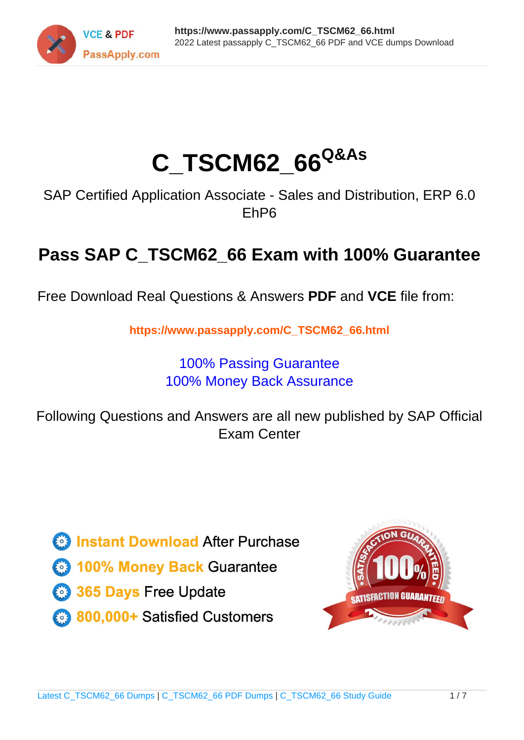

# **C\_TSCM62\_66Q&As**

SAP Certified Application Associate - Sales and Distribution, ERP 6.0 EhP6

## **Pass SAP C\_TSCM62\_66 Exam with 100% Guarantee**

Free Download Real Questions & Answers **PDF** and **VCE** file from:

**https://www.passapply.com/C\_TSCM62\_66.html**

### 100% Passing Guarantee 100% Money Back Assurance

Following Questions and Answers are all new published by SAP Official Exam Center

**Colonization** Download After Purchase

- **@ 100% Money Back Guarantee**
- **63 365 Days Free Update**
- 800,000+ Satisfied Customers

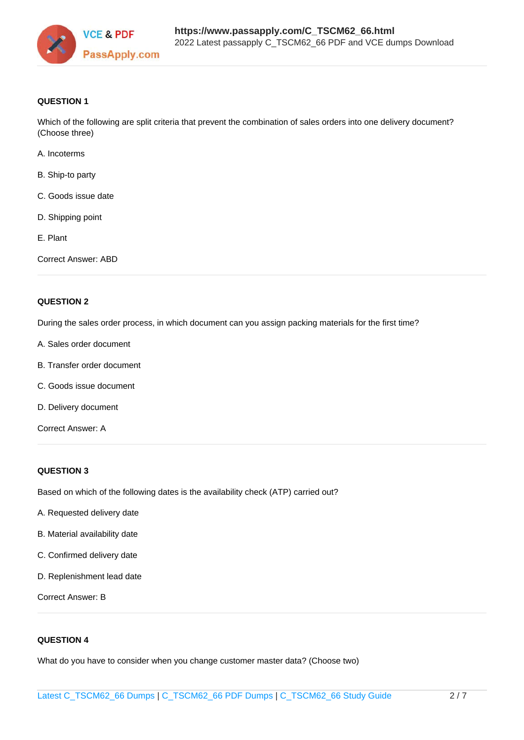

#### **QUESTION 1**

Which of the following are split criteria that prevent the combination of sales orders into one delivery document? (Choose three)

- A. Incoterms
- B. Ship-to party
- C. Goods issue date
- D. Shipping point
- E. Plant
- Correct Answer: ABD

#### **QUESTION 2**

During the sales order process, in which document can you assign packing materials for the first time?

- A. Sales order document
- B. Transfer order document
- C. Goods issue document
- D. Delivery document
- Correct Answer: A

#### **QUESTION 3**

Based on which of the following dates is the availability check (ATP) carried out?

- A. Requested delivery date
- B. Material availability date
- C. Confirmed delivery date
- D. Replenishment lead date

Correct Answer: B

#### **QUESTION 4**

What do you have to consider when you change customer master data? (Choose two)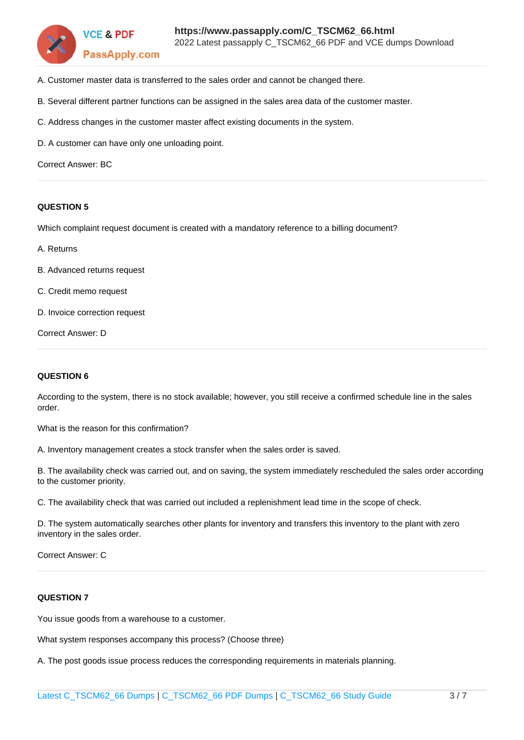

- A. Customer master data is transferred to the sales order and cannot be changed there.
- B. Several different partner functions can be assigned in the sales area data of the customer master.
- C. Address changes in the customer master affect existing documents in the system.
- D. A customer can have only one unloading point.

Correct Answer: BC

#### **QUESTION 5**

Which complaint request document is created with a mandatory reference to a billing document?

- A. Returns
- B. Advanced returns request
- C. Credit memo request
- D. Invoice correction request

Correct Answer: D

#### **QUESTION 6**

According to the system, there is no stock available; however, you still receive a confirmed schedule line in the sales order.

What is the reason for this confirmation?

A. Inventory management creates a stock transfer when the sales order is saved.

B. The availability check was carried out, and on saving, the system immediately rescheduled the sales order according to the customer priority.

C. The availability check that was carried out included a replenishment lead time in the scope of check.

D. The system automatically searches other plants for inventory and transfers this inventory to the plant with zero inventory in the sales order.

Correct Answer: C

#### **QUESTION 7**

You issue goods from a warehouse to a customer.

What system responses accompany this process? (Choose three)

A. The post goods issue process reduces the corresponding requirements in materials planning.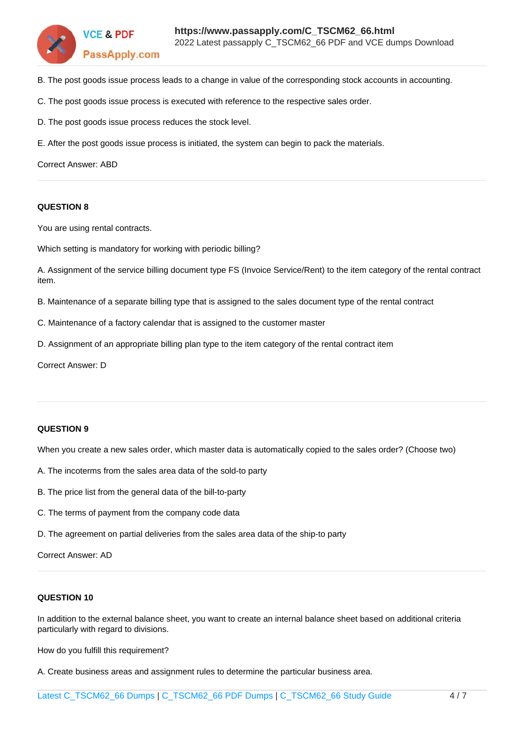

- B. The post goods issue process leads to a change in value of the corresponding stock accounts in accounting.
- C. The post goods issue process is executed with reference to the respective sales order.
- D. The post goods issue process reduces the stock level.
- E. After the post goods issue process is initiated, the system can begin to pack the materials.

Correct Answer: ABD

#### **QUESTION 8**

You are using rental contracts.

Which setting is mandatory for working with periodic billing?

A. Assignment of the service billing document type FS (Invoice Service/Rent) to the item category of the rental contract item.

B. Maintenance of a separate billing type that is assigned to the sales document type of the rental contract

- C. Maintenance of a factory calendar that is assigned to the customer master
- D. Assignment of an appropriate billing plan type to the item category of the rental contract item

Correct Answer: D

#### **QUESTION 9**

When you create a new sales order, which master data is automatically copied to the sales order? (Choose two)

- A. The incoterms from the sales area data of the sold-to party
- B. The price list from the general data of the bill-to-party
- C. The terms of payment from the company code data
- D. The agreement on partial deliveries from the sales area data of the ship-to party

Correct Answer: AD

#### **QUESTION 10**

In addition to the external balance sheet, you want to create an internal balance sheet based on additional criteria particularly with regard to divisions.

How do you fulfill this requirement?

A. Create business areas and assignment rules to determine the particular business area.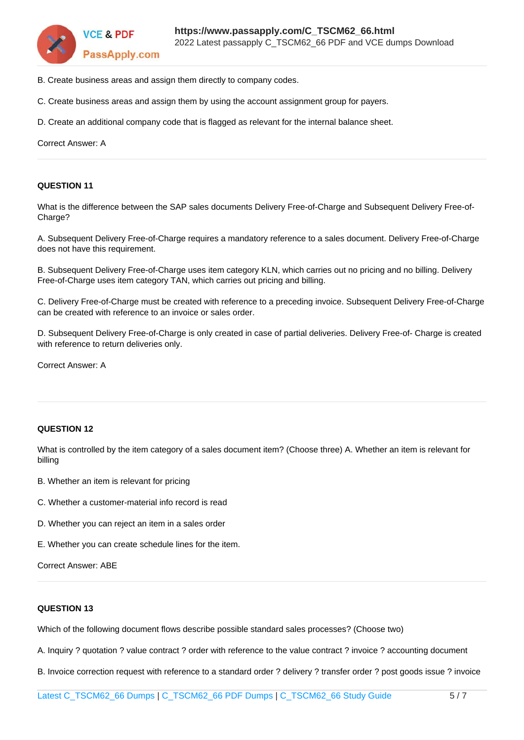

- B. Create business areas and assign them directly to company codes.
- C. Create business areas and assign them by using the account assignment group for payers.
- D. Create an additional company code that is flagged as relevant for the internal balance sheet.

Correct Answer: A

#### **QUESTION 11**

What is the difference between the SAP sales documents Delivery Free-of-Charge and Subsequent Delivery Free-of-Charge?

A. Subsequent Delivery Free-of-Charge requires a mandatory reference to a sales document. Delivery Free-of-Charge does not have this requirement.

B. Subsequent Delivery Free-of-Charge uses item category KLN, which carries out no pricing and no billing. Delivery Free-of-Charge uses item category TAN, which carries out pricing and billing.

C. Delivery Free-of-Charge must be created with reference to a preceding invoice. Subsequent Delivery Free-of-Charge can be created with reference to an invoice or sales order.

D. Subsequent Delivery Free-of-Charge is only created in case of partial deliveries. Delivery Free-of- Charge is created with reference to return deliveries only.

Correct Answer: A

#### **QUESTION 12**

What is controlled by the item category of a sales document item? (Choose three) A. Whether an item is relevant for billing

- B. Whether an item is relevant for pricing
- C. Whether a customer-material info record is read
- D. Whether you can reject an item in a sales order
- E. Whether you can create schedule lines for the item.

Correct Answer: ABE

#### **QUESTION 13**

Which of the following document flows describe possible standard sales processes? (Choose two)

A. Inquiry ? quotation ? value contract ? order with reference to the value contract ? invoice ? accounting document

B. Invoice correction request with reference to a standard order ? delivery ? transfer order ? post goods issue ? invoice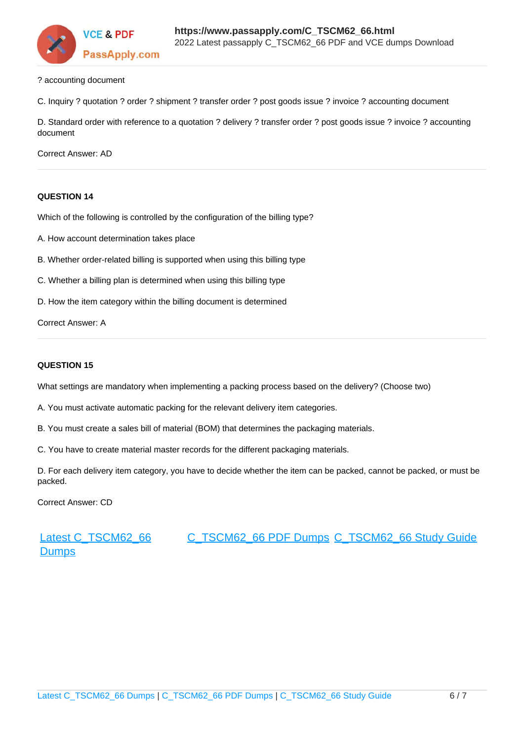

? accounting document

C. Inquiry ? quotation ? order ? shipment ? transfer order ? post goods issue ? invoice ? accounting document

D. Standard order with reference to a quotation ? delivery ? transfer order ? post goods issue ? invoice ? accounting document

Correct Answer: AD

#### **QUESTION 14**

Which of the following is controlled by the configuration of the billing type?

- A. How account determination takes place
- B. Whether order-related billing is supported when using this billing type
- C. Whether a billing plan is determined when using this billing type
- D. How the item category within the billing document is determined

Correct Answer: A

#### **QUESTION 15**

What settings are mandatory when implementing a packing process based on the delivery? (Choose two)

A. You must activate automatic packing for the relevant delivery item categories.

B. You must create a sales bill of material (BOM) that determines the packaging materials.

C. You have to create material master records for the different packaging materials.

D. For each delivery item category, you have to decide whether the item can be packed, cannot be packed, or must be packed.

Correct Answer: CD

[Latest C\\_TSCM62\\_66](https://www.passapply.com/C_TSCM62_66.html) **[Dumps](https://www.passapply.com/C_TSCM62_66.html)** [C\\_TSCM62\\_66 PDF Dumps](https://www.passapply.com/C_TSCM62_66.html) [C\\_TSCM62\\_66 Study Guide](https://www.passapply.com/C_TSCM62_66.html)